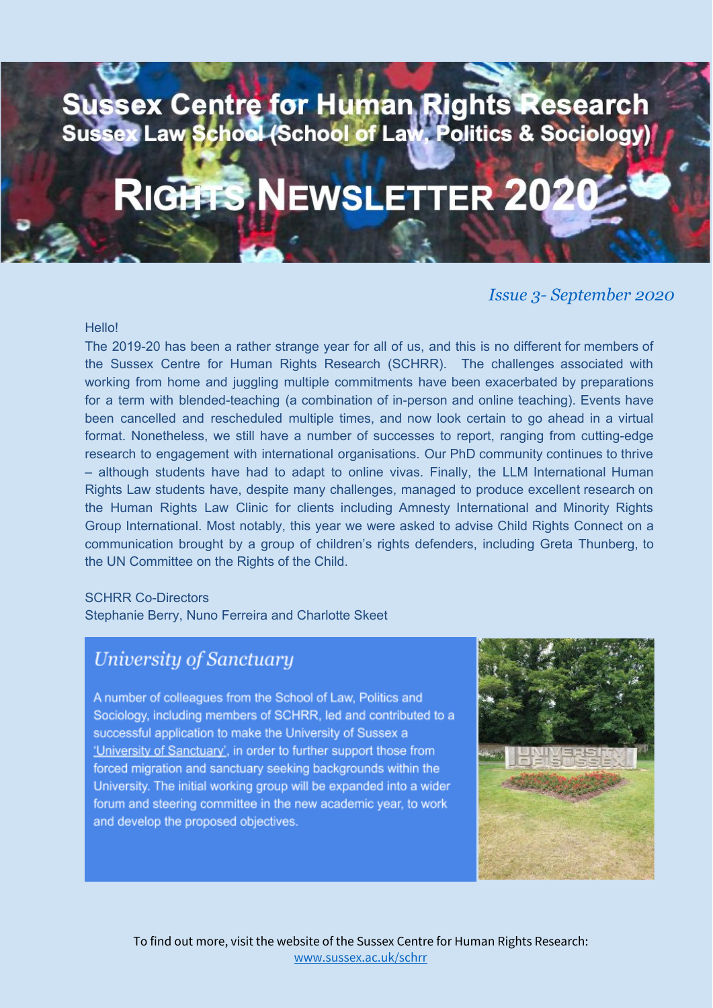# Sussex Centre for Human Rights Research<br>Sussex Law School (School of Law, Politics & Sociology)

# RIGHTS NEWSLETTER 202

#### *Issue 3- September <sup>2020</sup>*

#### **Hello!**

The 2019-20 has been a rather strange year for all of us, and this is no different for members of the Sussex Centre for Human Rights Research (SCHRR). The challenges associated with working from home and juggling multiple commitments have been exacerbated by preparations for a term with blended-teaching (a combination of in-person and online teaching). Events have been cancelled and rescheduled multiple times, and now look certain to go ahead in a virtual format. Nonetheless, we still have a number of successes to report, ranging from cutting-edge research to engagement with international organisations. Our PhD community continues to thrive – although students have had to adapt to online vivas. Finally, the LLM International Human Rights Law students have, despite many challenges, managed to produce excellent research on the Human Rights Law Clinic for clients including Amnesty International and Minority Rights Group International. Most notably, this year we were asked to advise Child Rights Connect on a communication brought by a group of children's rights defenders, including Greta Thunberg, to the UN Committee on the Rights of the Child.

#### SCHRR Co-Directors

Stephanie Berry, Nuno Ferreira and Charlotte Skeet

### **University of Sanctuary**

A number of colleagues from the School of Law, Politics and Sociology, including members of SCHRR, led and contributed to a successful application to make the University of Sussex a 'University of Sanctuary', in order to further support those from forced migration and sanctuary seeking backgrounds within the University. The initial working group will be expanded into a wider forum and steering committee in the new academic year, to work and develop the proposed objectives.

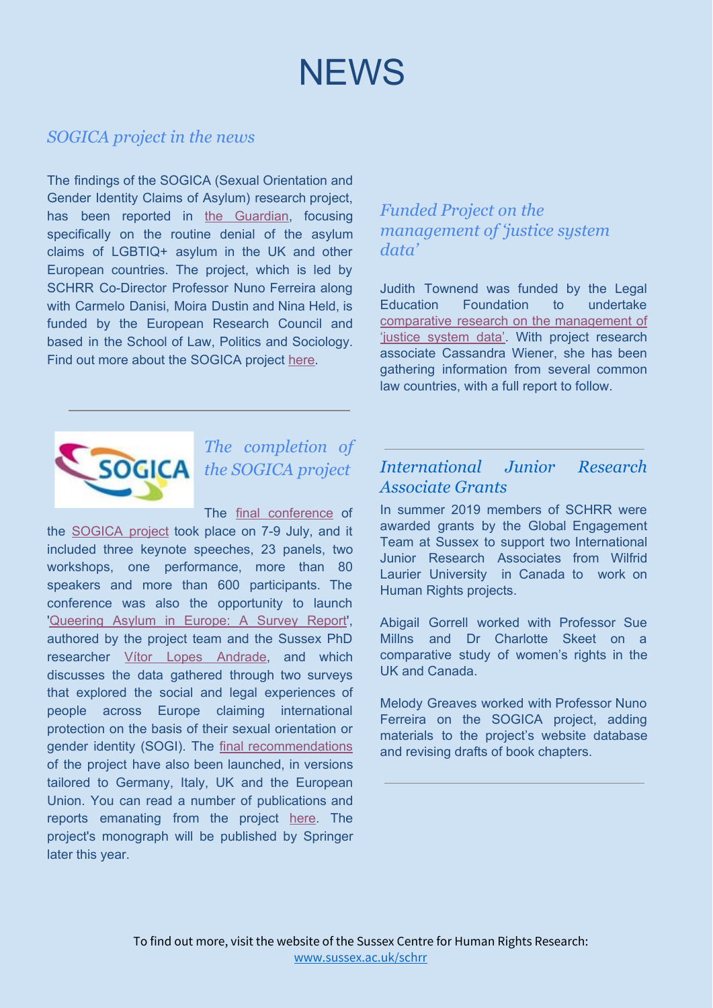

#### *SOGICA project in the news*

The findings of the SOGICA (Sexual Orientation and Gender Identity Claims of Asylum) research project, has bee[n](https://www.theguardian.com/uk-news/2020/jul/09/lgbt-asylum-seekers-routinely-see-claims-rejected-in-europe-and-uk) reported in the [Guardian,](https://www.theguardian.com/uk-news/2020/jul/09/lgbt-asylum-seekers-routinely-see-claims-rejected-in-europe-and-uk) focusing specifically on the routine denial of the asylum claims of LGBTIQ+ asylum in the UK and other European countries. The project, which is led by SCHRR Co-Director Professor Nuno Ferreira along with Carmelo Danisi, Moira Dustin and Nina Held, is funded by the European Research Council and based in the School of Law, Politics and Sociology. Find out more about the SOGICA projec[t](https://www.sogica.org/en/) [here](https://www.sogica.org/en/).

#### *Funded Project on the management of 'justice system data'*

Judith Townend was funded by the Legal Education Foundation to undertake comparative research on the [management](http://www.sussex.ac.uk/law/research/projects/justicesystemdataresearchacomparativestudy) of 'justice [system](http://www.sussex.ac.uk/law/research/projects/justicesystemdataresearchacomparativestudy) data'. With project research associate Cassandra Wiener, she has been gathering information from several common law countries, with a full report to follow.



### *The completion of the SOGICA project*

The final [conference](http://www.sogica.org/en/final-conference/) of

the [SOGICA](http://www.sogica.org/en/) project took place on 7-9 July, and it included three keynote speeches, 23 panels, two workshops, one performance, more than 80 speakers and more than 600 participants. The conference was also the opportunity to launch ['Queering](http://www.sogica.org/database/andrade-danisi-dustin-ferreira-and-held-queering-asylum-in-europe-a-survey-report-2020/?utm_source=RRN&utm_campaign=bcad1ba448-EMAIL_CAMPAIGN_2020_07_21_05_23&utm_medium=email&utm_term=0_ba6c4776e3-bcad1ba448-45988249) Asylum in Europe: A Survey Report', authored by the project team and the Sussex PhD researcher Vítor Lopes [Andrade](https://profiles.sussex.ac.uk/p446573-vitor-lopes-andrade), and which discusses the data gathered through two surveys that explored the social and legal experiences of people across Europe claiming international protection on the basis of their sexual orientation or gender identity (SOGI). The final [recommendations](http://www.sogica.org/en/final-recommendations/) of the project have also been launched, in versions tailored to Germany, Italy, UK and the European Union. You can read a number of publications and reports emanating from the projec[t](https://www.sogica.org/en/publications/) [here](https://www.sogica.org/en/publications/). The project's monograph will be published by Springer later this year.

#### *International Junior Research Associate Grants*

In summer 2019 members of SCHRR were awarded grants by the Global Engagement Team at Sussex to support two International Junior Research Associates from Wilfrid Laurier University in Canada to work on Human Rights projects.

Abigail Gorrell worked with Professor Sue Millns and Dr Charlotte Skeet on a comparative study of women's rights in the UK and Canada.

Melody Greaves worked with Professor Nuno Ferreira on the SOGICA project, adding materials to the project's website database and revising drafts of book chapters.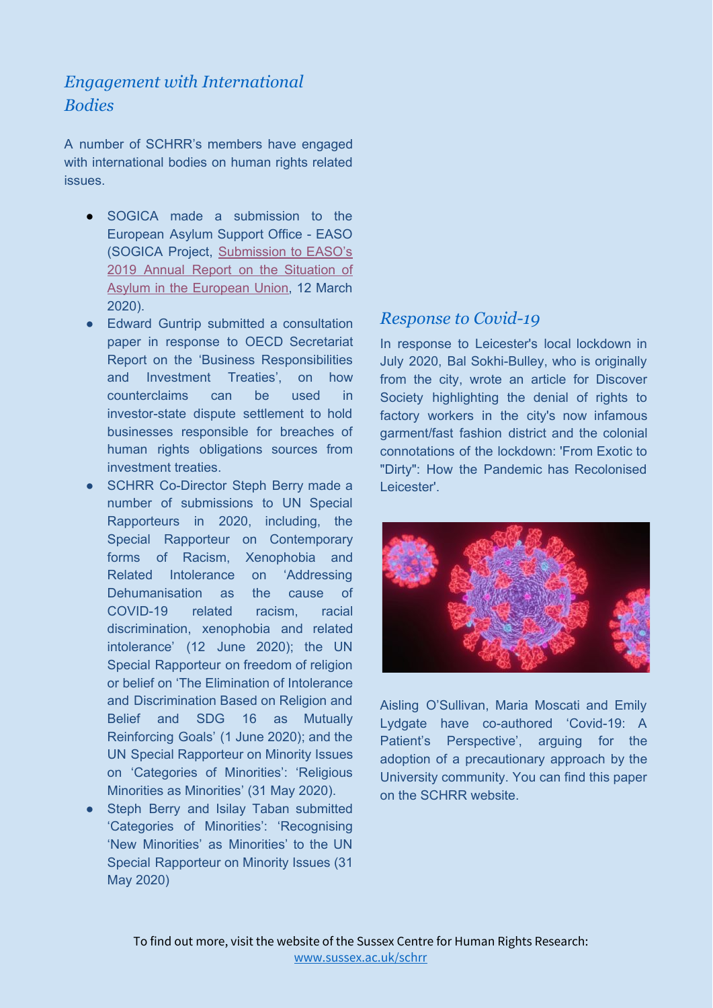#### *Engagement with International Bodies*

A number of SCHRR's members have engaged with international bodies on human rights related issues.

- SOGICA made a submission to the European Asylum Support Office - EASO (SOGICA Project, [Submission](http://www.sogica.org/database/sogica-submission-to-easos-2019-annual-report-on-the-situation-of-asylum-in-the-european-union-2020/) to EASO's 2019 Annual Report on the [Situation](http://www.sogica.org/database/sogica-submission-to-easos-2019-annual-report-on-the-situation-of-asylum-in-the-european-union-2020/) of Asylum in the [European](http://www.sogica.org/database/sogica-submission-to-easos-2019-annual-report-on-the-situation-of-asylum-in-the-european-union-2020/) Union, 12 March 2020).
- Edward Guntrip submitted a consultation paper in response to OECD Secretariat Report on the 'Business Responsibilities and Investment Treaties', on how counterclaims can be used in investor-state dispute settlement to hold businesses responsible for breaches of human rights obligations sources from investment treaties.
- SCHRR Co-Director Steph Berry made a number of submissions to UN Special Rapporteurs in 2020, including, the Special Rapporteur on Contemporary forms of Racism, Xenophobia and Related Intolerance on 'Addressing Dehumanisation as the cause of COVID-19 related racism, racial discrimination, xenophobia and related intolerance' (12 June 2020); the UN Special Rapporteur on freedom of religion or belief on 'The Elimination of Intolerance and Discrimination Based on Religion and Belief and SDG 16 as Mutually Reinforcing Goals' (1 June 2020); and the UN Special Rapporteur on Minority Issues on 'Categories of Minorities': 'Religious Minorities as Minorities' (31 May 2020).
- Steph Berry and Isilay Taban submitted 'Categories of Minorities': 'Recognising 'New Minorities' as Minorities' to the UN Special Rapporteur on Minority Issues (31 May 2020)

#### *Response to Covid-19*

In response to Leicester's local lockdown in July 2020, Bal Sokhi-Bulley, who is originally from the city, wrote an article for Discover Society highlighting the denial of rights to factory workers in the city's now infamous garment/fast fashion district and the colonial connotations of the lockdown: 'From Exotic to "Dirty": How the Pandemic has Recolonised Leicester'.



Aisling O'Sullivan, Maria Moscati and Emily Lydgate have co-authored 'Covid-19: A Patient's Perspective', arguing for the adoption of a precautionary approach by the University community. You can find this paper on the SCHRR website.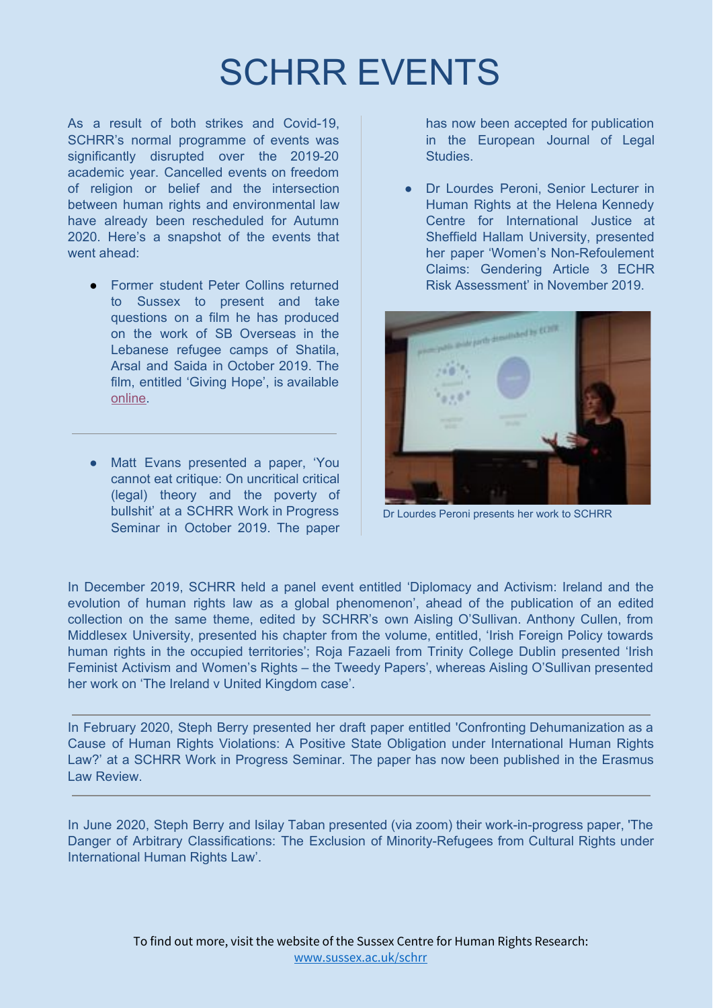### SCHRR EVENTS

As a result of both strikes and Covid-19, SCHRR's normal programme of events was significantly disrupted over the 2019-20 academic year. Cancelled events on freedom of religion or belief and the intersection between human rights and environmental law have already been rescheduled for Autumn 2020. Here's a snapshot of the events that went ahead:

- **Former student Peter Collins returned** to Sussex to present and take questions on a film he has produced on the work of SB Overseas in the Lebanese refugee camps of Shatila, Arsal and Saida in October 2019. The film, entitled 'Giving Hope', is available [online](https://protect-eu.mimecast.com/s/chi1CKQ50CkW3jUvLxZl?domain=youtube.com).
- Matt Evans presented a paper, 'You cannot eat critique: On uncritical critical (legal) theory and the poverty of bullshit' at a SCHRR Work in Progress Seminar in October 2019. The paper

has now been accepted for publication in the European Journal of Legal Studies.

● Dr Lourdes Peroni, Senior Lecturer in Human Rights at the Helena Kennedy Centre for International Justice at Sheffield Hallam University, presented her paper 'Women's Non-Refoulement Claims: Gendering Article 3 ECHR Risk Assessment' in November 2019.



Dr Lourdes Peroni presents her work to SCHRR

In December 2019, SCHRR held a panel event entitled 'Diplomacy and Activism: Ireland and the evolution of human rights law as a global phenomenon', ahead of the publication of an edited collection on the same theme, edited by SCHRR's own Aisling O'Sullivan. Anthony Cullen, from Middlesex University, presented his chapter from the volume, entitled, 'Irish Foreign Policy towards human rights in the occupied territories'; Roja Fazaeli from Trinity College Dublin presented 'Irish Feminist Activism and Women's Rights – the Tweedy Papers', whereas Aisling O'Sullivan presented her work on 'The Ireland v United Kingdom case'.

In February 2020, Steph Berry presented her draft paper entitled 'Confronting Dehumanization as a Cause of Human Rights Violations: A Positive State Obligation under International Human Rights Law?' at a SCHRR Work in Progress Seminar. The paper has now been published in the Erasmus Law Review.

In June 2020, Steph Berry and Isilay Taban presented (via zoom) their work-in-progress paper, 'The Danger of Arbitrary Classifications: The Exclusion of Minority-Refugees from Cultural Rights under International Human Rights Law'.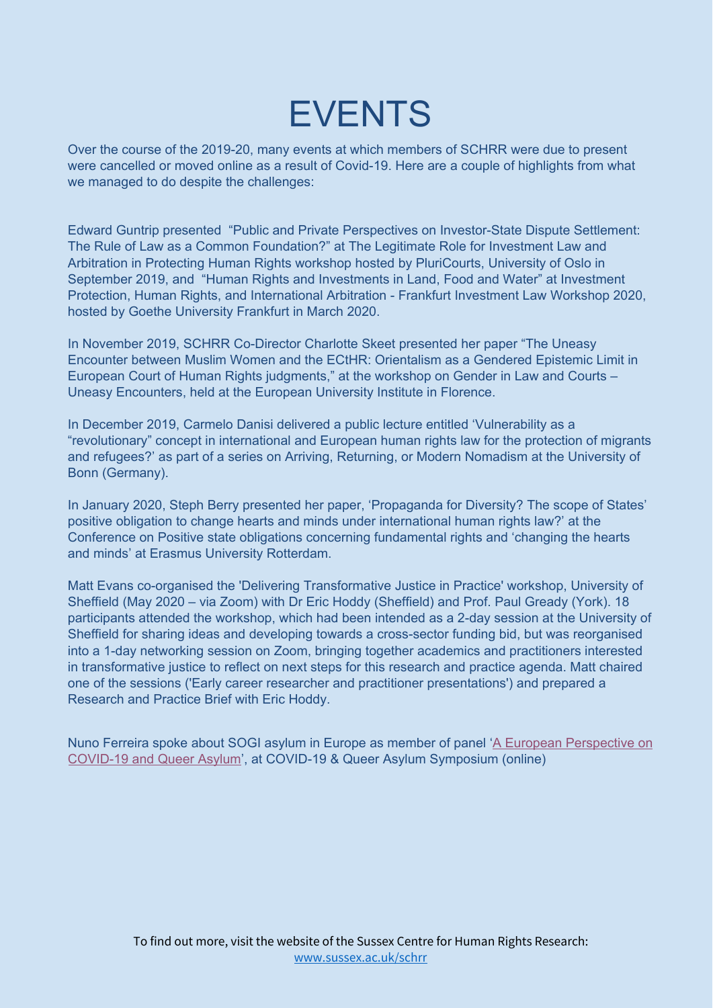### EVENTS

Over the course of the 2019-20, many events at which members of SCHRR were due to present were cancelled or moved online as a result of Covid-19. Here are a couple of highlights from what we managed to do despite the challenges:

Edward Guntrip presented "Public and Private Perspectives on Investor-State Dispute Settlement: The Rule of Law as a Common Foundation?" at The Legitimate Role for Investment Law and Arbitration in Protecting Human Rights workshop hosted by PluriCourts, University of Oslo in September 2019, and "Human Rights and Investments in Land, Food and Water" at Investment Protection, Human Rights, and International Arbitration - Frankfurt Investment Law Workshop 2020, hosted by Goethe University Frankfurt in March 2020.

In November 2019, SCHRR Co-Director Charlotte Skeet presented her paper "The Uneasy Encounter between Muslim Women and the ECtHR: Orientalism as a Gendered Epistemic Limit in European Court of Human Rights judgments," at the workshop on Gender in Law and Courts – Uneasy Encounters, held at the European University Institute in Florence.

In December 2019, Carmelo Danisi delivered a public lecture entitled 'Vulnerability as a "revolutionary" concept in international and European human rights law for the protection of migrants and refugees?' as part of a series on Arriving, Returning, or Modern Nomadism at the University of Bonn (Germany).

In January 2020, Steph Berry presented her paper, 'Propaganda for Diversity? The scope of States' positive obligation to change hearts and minds under international human rights law?' at the Conference on Positive state obligations concerning fundamental rights and 'changing the hearts and minds' at Erasmus University Rotterdam.

Matt Evans co-organised the 'Delivering Transformative Justice in Practice' workshop, University of Sheffield (May 2020 – via Zoom) with Dr Eric Hoddy (Sheffield) and Prof. Paul Gready (York). 18 participants attended the workshop, which had been intended as a 2-day session at the University of Sheffield for sharing ideas and developing towards a cross-sector funding bid, but was reorganised into a 1-day networking session on Zoom, bringing together academics and practitioners interested in transformative justice to reflect on next steps for this research and practice agenda. Matt chaired one of the sessions ('Early career researcher and practitioner presentations') and prepared a Research and Practice Brief with Eric Hoddy.

Nuno Ferreira spoke about SOGI asylum in Europe as member of panel 'A European [Perspective](https://www.facebook.com/QueerEuropeanAsylum/videos/254472059033942/?fref=mentions&__xts__%5B0%5D=68.ARBM1vQbXT07azMunNevmurMJWGzxD_fVoaXPa73cylKMaVmR6r8kPz66bRMkTkuVdjmfxmSBuYd4-dCKAh-eEe9GfFFc6VRM3GRemoA3vq7ykxMwNDc2S-4lQCeeSVtcV6pbSk3JSp_ClCBSRfx2-GBCsUfSsCx7L1x315VegIhYz9XN0j0QFAFTyQY8xQVmNfeiXVbW3tLeVqLoZX04tF2gHoq5nSsOr-E0h3t9_TEbNG7fyh0AtN8PKrcprCKcrhRbQLMp8-a0fOD_Nz9WLpDcazWWZUdpZC1YxuJSuTdsJwrQ5ckS9bF0jOMAhwe03LPSlHqJ056KpenFGORYoCP2bGuqg&__tn__=K-R) on [COVID-19](https://www.facebook.com/QueerEuropeanAsylum/videos/254472059033942/?fref=mentions&__xts__%5B0%5D=68.ARBM1vQbXT07azMunNevmurMJWGzxD_fVoaXPa73cylKMaVmR6r8kPz66bRMkTkuVdjmfxmSBuYd4-dCKAh-eEe9GfFFc6VRM3GRemoA3vq7ykxMwNDc2S-4lQCeeSVtcV6pbSk3JSp_ClCBSRfx2-GBCsUfSsCx7L1x315VegIhYz9XN0j0QFAFTyQY8xQVmNfeiXVbW3tLeVqLoZX04tF2gHoq5nSsOr-E0h3t9_TEbNG7fyh0AtN8PKrcprCKcrhRbQLMp8-a0fOD_Nz9WLpDcazWWZUdpZC1YxuJSuTdsJwrQ5ckS9bF0jOMAhwe03LPSlHqJ056KpenFGORYoCP2bGuqg&__tn__=K-R) and Queer Asylum', at COVID-19 & Queer Asylum Symposium (online)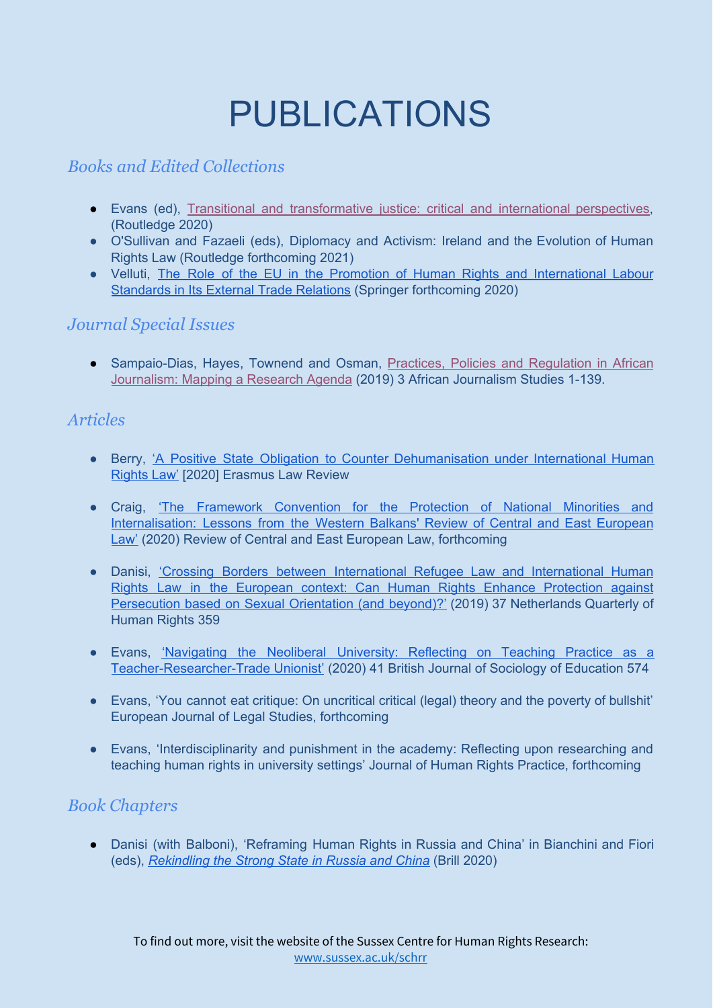# PUBLICATIONS

#### *Books and Edited Collections*

- Evans (ed), [T](https://exchange.sussex.ac.uk/owa/redir.aspx?C=IiohJXKTGNqoLK5ol7aHGS4CsQmkpRx78S-ZOk0gUMIShDJEzhTXCA..&URL=https%3a%2f%2fbit.ly%2f2QWBUVU)ransitional and [transformative](https://exchange.sussex.ac.uk/owa/redir.aspx?C=IiohJXKTGNqoLK5ol7aHGS4CsQmkpRx78S-ZOk0gUMIShDJEzhTXCA..&URL=https%3a%2f%2fbit.ly%2f2QWBUVU) justice: critical and international perspectives, (Routledge 2020)
- O'Sullivan and Fazaeli (eds), Diplomacy and Activism: Ireland and the Evolution of Human Rights Law (Routledge forthcoming 2021)
- Velluti, The Role of the EU in the Promotion of Human Rights and [International](https://www.springer.com/gp/book/9783030567460) Labour [Standards](https://www.springer.com/gp/book/9783030567460) in Its External Trade Relations (Springer forthcoming 2020)

#### *Journal Special Issues*

• Sampaio-Dias, Hayes, Townend and Osman, Practices, Policies and [Regulation](https://www.tandfonline.com/toc/recq21/40/3) in African [Journalism:](https://www.tandfonline.com/toc/recq21/40/3) Mapping a Research Agenda (2019) 3 African Journalism Studies 1-139.

#### *Articles*

- Berry, 'A Positive State Obligation to Counter [Dehumanisation](http://www.erasmuslawreview.nl/tijdschrift/ELR/2020/3%20(incomplete)/ELR-D-20-00008) under International Human [Rights](http://www.erasmuslawreview.nl/tijdschrift/ELR/2020/3%20(incomplete)/ELR-D-20-00008) Law' [2020] Erasmus Law Review
- Craig, 'The Framework [Convention](http://sro.sussex.ac.uk/id/eprint/89872/) for the Protection of National Minorities and [Internalisation:](http://sro.sussex.ac.uk/id/eprint/89872/) Lessons from the Western Balkans' Review of Central and East European [Law'](http://sro.sussex.ac.uk/id/eprint/89872/) (2020) Review of Central and East European Law, forthcoming
- Danisi, 'Crossing Borders between [International](https://journals.sagepub.com/doi/10.1177/0924051919884758) Refugee Law and International Human Rights Law in the European context: Can Human Rights Enhance [Protection](https://journals.sagepub.com/doi/10.1177/0924051919884758) against [Persecution](https://journals.sagepub.com/doi/10.1177/0924051919884758) based on Sexual Orientation (and beyond)?' (2019) 37 Netherlands Quarterly of Human Rights 359
- Evans, ['Navigating](https://www.tandfonline.com/doi/abs/10.1080/01425692.2020.1748572?journalCode=cbse20) the Neoliberal University: Reflecting on Teaching Practice as a [Teacher-Researcher-Trade](https://www.tandfonline.com/doi/abs/10.1080/01425692.2020.1748572?journalCode=cbse20) Unionist' (2020) 41 British Journal of Sociology of Education 574
- Evans, 'You cannot eat critique: On uncritical critical (legal) theory and the poverty of bullshit' European Journal of Legal Studies, forthcoming
- Evans, 'Interdisciplinarity and punishment in the academy: Reflecting upon researching and teaching human rights in university settings' Journal of Human Rights Practice, forthcoming

#### *Book Chapters*

● Danisi (with Balboni), 'Reframing Human Rights in Russia and China' in Bianchini and Fiori (eds), *[Rekindling](https://brill.com/view/title/33818) the Strong State in Russia and China* (Brill 2020)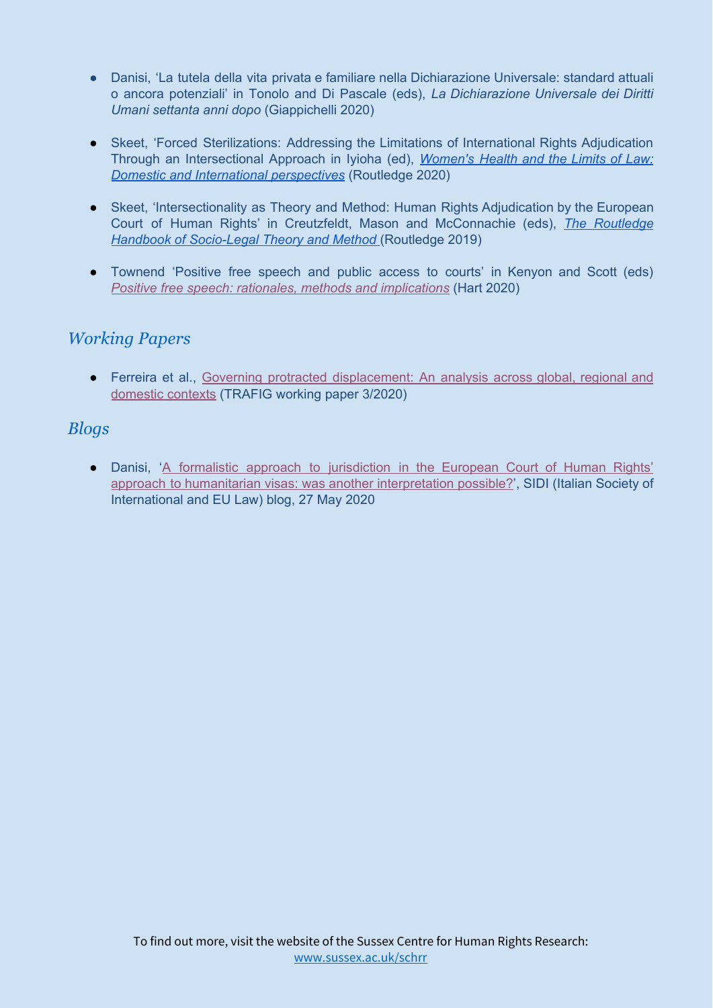- Danisi, 'La tutela della vita privata e familiare nella Dichiarazione Universale: standard attuali o ancora potenziali' in Tonolo and Di Pascale (eds), *La Dichiarazione Universale dei Diritti Umani settanta anni dopo* (Giappichelli 2020)
- Skeet, 'Forced Sterilizations: Addressing the Limitations of International Rights Adjudication Through an Intersectional Approach in Iyioha (ed), *[Women's](https://www.routledge.com/Womens-Health-and-the-Limits-of-Law-Domestic-and-International-Perspectives/Iyioha/p/book/9781138549647) Health and the Limits of Law: Domestic and International [perspectives](https://www.routledge.com/Womens-Health-and-the-Limits-of-Law-Domestic-and-International-Perspectives/Iyioha/p/book/9781138549647)* (Routledge 2020)
- Skeet, 'Intersectionality as Theory and Method: Human Rights Adjudication by the European Court of Human Rights' in Creutzfeldt, Mason and McConnachie (eds), *The [Routledge](https://www.routledge.com/Routledge-Handbook-of-Socio-Legal-Theory-and-Methods/Creutzfeldt-Mason-McConnachie/p/book/9781138592902#:~:text=Book%20Description,-Drawing%20on%20a&text=The%20vast%20field%20of%20socio,which%20law%20can%20be%20considered.&text=First%2Dhand%20accounts%20of%20socio,within%20this%20fluid%20interdisciplinary%20area.) Handbook of [Socio-Legal](https://www.routledge.com/Routledge-Handbook-of-Socio-Legal-Theory-and-Methods/Creutzfeldt-Mason-McConnachie/p/book/9781138592902#:~:text=Book%20Description,-Drawing%20on%20a&text=The%20vast%20field%20of%20socio,which%20law%20can%20be%20considered.&text=First%2Dhand%20accounts%20of%20socio,within%20this%20fluid%20interdisciplinary%20area.) Theory and Method* (Routledge 2019)
- Townend 'Positive free speech and public access to courts' in Kenyon and Scott (eds) *Positive free speech: rationales, methods and [implications](https://www.bloomsburyprofessional.com/uk/positive-free-speech-9781509908295/)* (Hart 2020)

#### *Working Papers*

● Ferreira et al., [G](https://www.trafig.eu/output/working-papers/trafig-working-paper-no-3)overning protracted [displacement:](https://www.trafig.eu/output/working-papers/trafig-working-paper-no-3) An analysis across global, regional and [domestic](https://www.trafig.eu/output/working-papers/trafig-working-paper-no-3) contexts (TRAFIG working paper 3/2020)

#### *Blogs*

● Danisi, 'A formalistic approach to [jurisdiction](http://www.sidiblog.org/2020/05/27/a-formalistic-approach-to-jurisdiction-in-the-european-court-of-human-rights-decision-on-humanitarian-visas-was-another-interpretation-possible) in the European Court of Human Rights' approach to humanitarian visas: was another [interpretation](http://www.sidiblog.org/2020/05/27/a-formalistic-approach-to-jurisdiction-in-the-european-court-of-human-rights-decision-on-humanitarian-visas-was-another-interpretation-possible) possible?', SIDI (Italian Society of International and EU Law) blog, 27 May 2020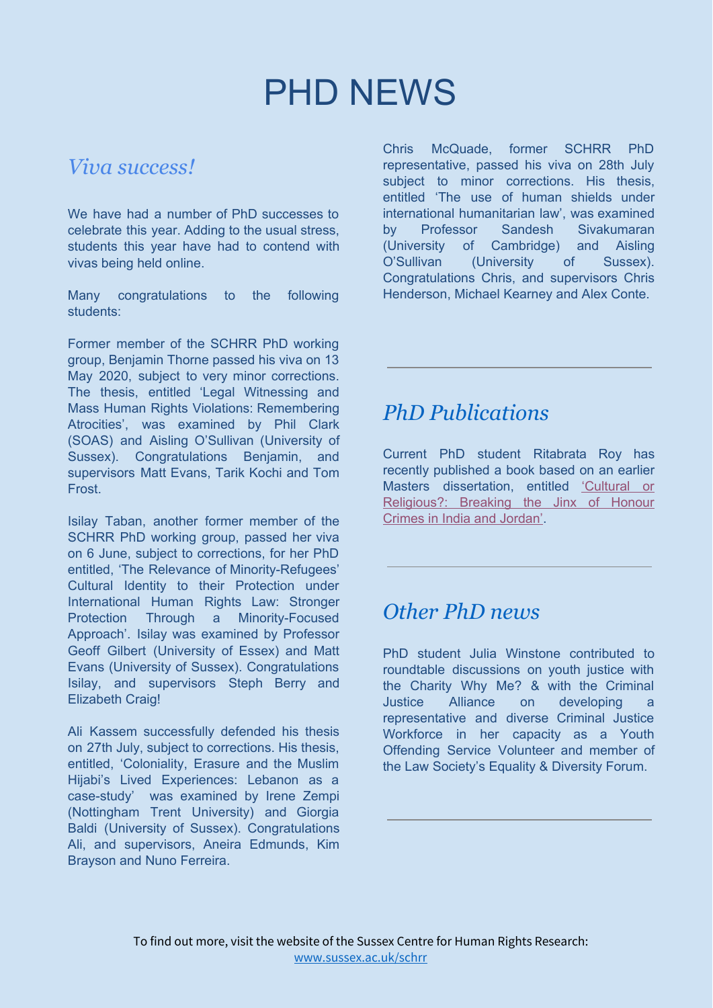### PHD NEWS

#### *Viva success!*

We have had a number of PhD successes to celebrate this year. Adding to the usual stress, students this year have had to contend with vivas being held online.

Many congratulations to the following students:

Former member of the SCHRR PhD working group, Benjamin Thorne passed his viva on 13 May 2020, subject to very minor corrections. The thesis, entitled 'Legal Witnessing and Mass Human Rights Violations: Remembering Atrocities', was examined by Phil Clark (SOAS) and Aisling O'Sullivan (University of Sussex). Congratulations Benjamin, and supervisors Matt Evans, Tarik Kochi and Tom Frost.

Isilay Taban, another former member of the SCHRR PhD working group, passed her viva on 6 June, subject to corrections, for her PhD entitled, 'The Relevance of Minority-Refugees' Cultural Identity to their Protection under International Human Rights Law: Stronger Protection Through a Minority-Focused Approach'. Isilay was examined by Professor Geoff Gilbert (University of Essex) and Matt Evans (University of Sussex). Congratulations Isilay, and supervisors Steph Berry and Elizabeth Craig!

Ali Kassem successfully defended his thesis on 27th July, subject to corrections. His thesis, entitled, 'Coloniality, Erasure and the Muslim Hijabi's Lived Experiences: Lebanon as a case-study' was examined by Irene Zempi (Nottingham Trent University) and Giorgia Baldi (University of Sussex). Congratulations Ali, and supervisors, Aneira Edmunds, Kim Brayson and Nuno Ferreira.

Chris McQuade, former SCHRR PhD representative, passed his viva on 28th July subject to minor corrections. His thesis, entitled 'The use of human shields under international humanitarian law', was examined by Professor Sandesh Sivakumaran (University of Cambridge) and Aisling O'Sullivan (University of Sussex). Congratulations Chris, and supervisors Chris Henderson, Michael Kearney and Alex Conte.

### *PhD Publications*

Current PhD student Ritabrata Roy has recently published a book based on an earlier Masters dissertation, entitled ['Cultural](https://www.amazon.co.uk/Cultural-Religious-Breaking-Honour-Crimes/dp/6202674164/ref=sr_1_1?dchild=1&keywords=ritabrata+roy&qid=1596527185&sr=8-1) or [Religious?:](https://www.amazon.co.uk/Cultural-Religious-Breaking-Honour-Crimes/dp/6202674164/ref=sr_1_1?dchild=1&keywords=ritabrata+roy&qid=1596527185&sr=8-1) Breaking the Jinx of Honour Crimes in India and [Jordan'](https://www.amazon.co.uk/Cultural-Religious-Breaking-Honour-Crimes/dp/6202674164/ref=sr_1_1?dchild=1&keywords=ritabrata+roy&qid=1596527185&sr=8-1).

### *Other PhD news*

PhD student Julia Winstone contributed to roundtable discussions on youth justice with the Charity Why Me? & with the Criminal Justice Alliance on developing a representative and diverse Criminal Justice Workforce in her capacity as a Youth Offending Service Volunteer and member of the Law Society's Equality & Diversity Forum.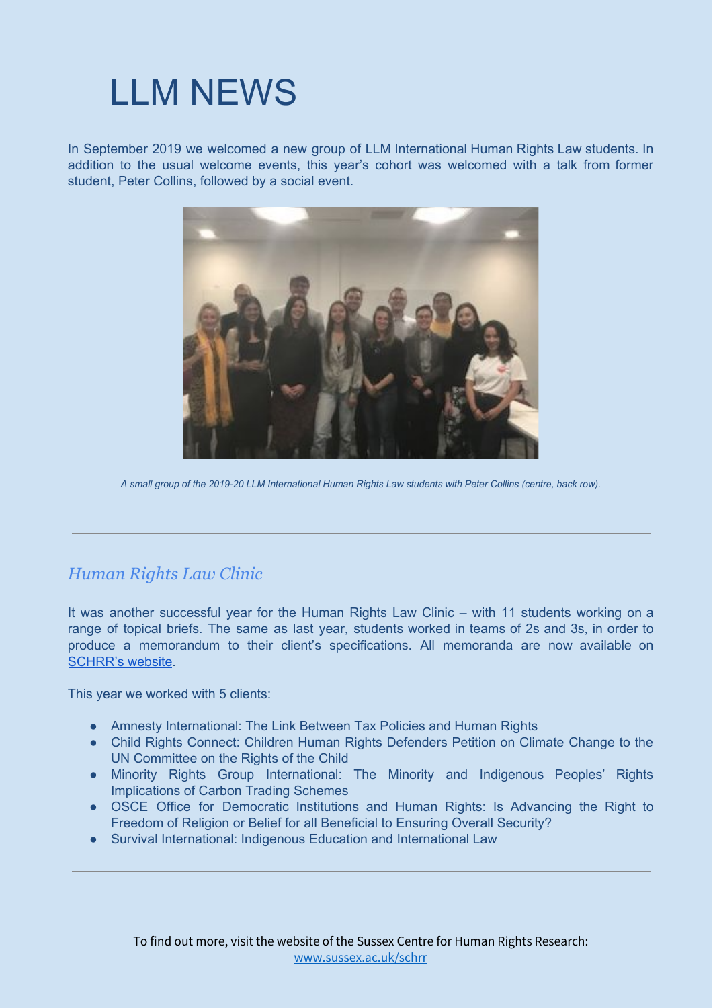## LLM NEWS

In September 2019 we welcomed a new group of LLM International Human Rights Law students. In addition to the usual welcome events, this year's cohort was welcomed with a talk from former student, Peter Collins, followed by a social event.



A small group of the 2019-20 LLM International Human Rights Law students with Peter Collins (centre, back row).

#### *Human Rights Law Clinic*

It was another successful year for the Human Rights Law Clinic – with 11 students working on a range of topical briefs. The same as last year, students worked in teams of 2s and 3s, in order to produce a memorandum to their client's specifications. All memoranda are now available on [SCHRR's](http://www.sussex.ac.uk/schrr/clinic/papers) website.

This year we worked with 5 clients:

- Amnesty International: The Link Between Tax Policies and Human Rights
- Child Rights Connect: Children Human Rights Defenders Petition on Climate Change to the UN Committee on the Rights of the Child
- Minority Rights Group International: The Minority and Indigenous Peoples' Rights Implications of Carbon Trading Schemes
- OSCE Office for Democratic Institutions and Human Rights: Is Advancing the Right to Freedom of Religion or Belief for all Beneficial to Ensuring Overall Security?
- Survival International: Indigenous Education and International Law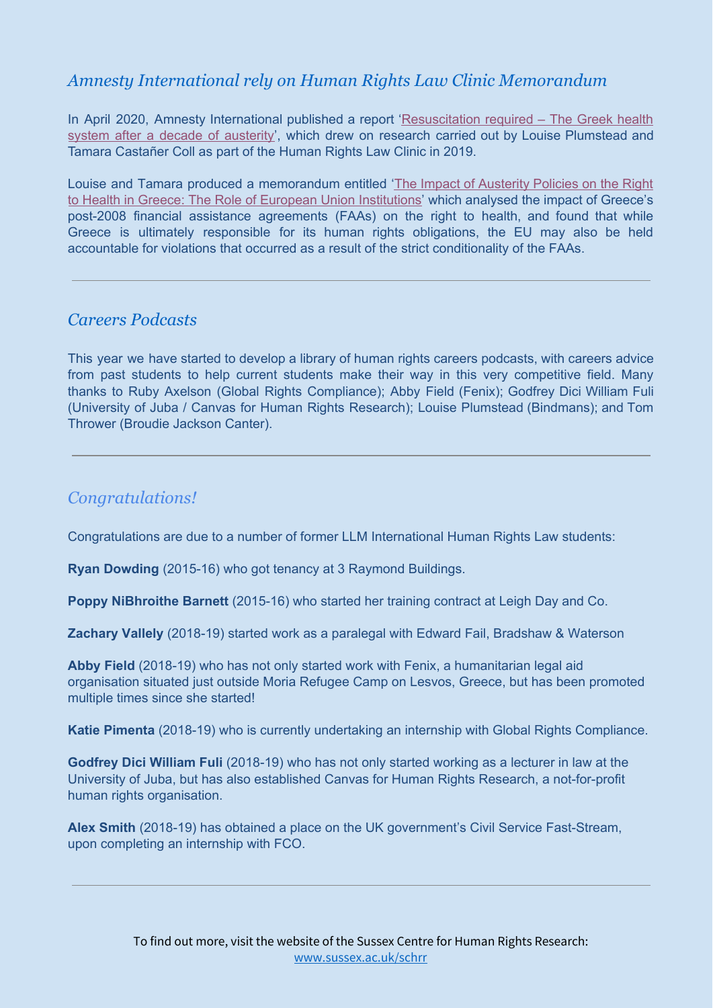#### *Amnesty International rely on Human Rights Law Clinic Memorandum*

In April 2020, Amnesty International published a report '[Resuscitation](https://www.amnesty.org/en/documents/eur25/2176/2020/en/) required – The Greek health system after a decade of [austerity](https://www.amnesty.org/en/documents/eur25/2176/2020/en/)', which drew on research carried out by Louise Plumstead and Tamara Castañer Coll as part of the Human Rights Law Clinic in 2019.

Louise and Tamara produced a memorandum entitled 'The Impact of [Austerity](http://www.sussex.ac.uk/schrr/documents/amnesty20international2028final29.pdf) Policies on the Right to Health in Greece: The Role of European Union [Institutions'](http://www.sussex.ac.uk/schrr/documents/amnesty20international2028final29.pdf) which analysed the impact of Greece's post-2008 financial assistance agreements (FAAs) on the right to health, and found that while Greece is ultimately responsible for its human rights obligations, the EU may also be held accountable for violations that occurred as a result of the strict conditionality of the FAAs.

#### *Careers Podcasts*

This year we have started to develop a library of human rights careers podcasts, with careers advice from past students to help current students make their way in this very competitive field. Many thanks to Ruby Axelson (Global Rights Compliance); Abby Field (Fenix); Godfrey Dici William Fuli (University of Juba / Canvas for Human Rights Research); Louise Plumstead (Bindmans); and Tom Thrower (Broudie Jackson Canter).

#### *Congratulations!*

Congratulations are due to a number of former LLM International Human Rights Law students:

**Ryan Dowding** (2015-16) who got tenancy at 3 Raymond Buildings.

**Poppy NiBhroithe Barnett** (2015-16) who started her training contract at Leigh Day and Co.

**Zachary Vallely** (2018-19) started work as a paralegal with Edward Fail, Bradshaw & Waterson

**Abby Field** (2018-19) who has not only started work with Fenix, a humanitarian legal aid organisation situated just outside Moria Refugee Camp on Lesvos, Greece, but has been promoted multiple times since she started!

**Katie Pimenta** (2018-19) who is currently undertaking an internship with Global Rights Compliance.

**Godfrey Dici William Fuli** (2018-19) who has not only started working as a lecturer in law at the University of Juba, but has also established Canvas for Human Rights Research, a not-for-profit human rights organisation.

**Alex Smith** (2018-19) has obtained a place on the UK government's Civil Service Fast-Stream, upon completing an internship with FCO.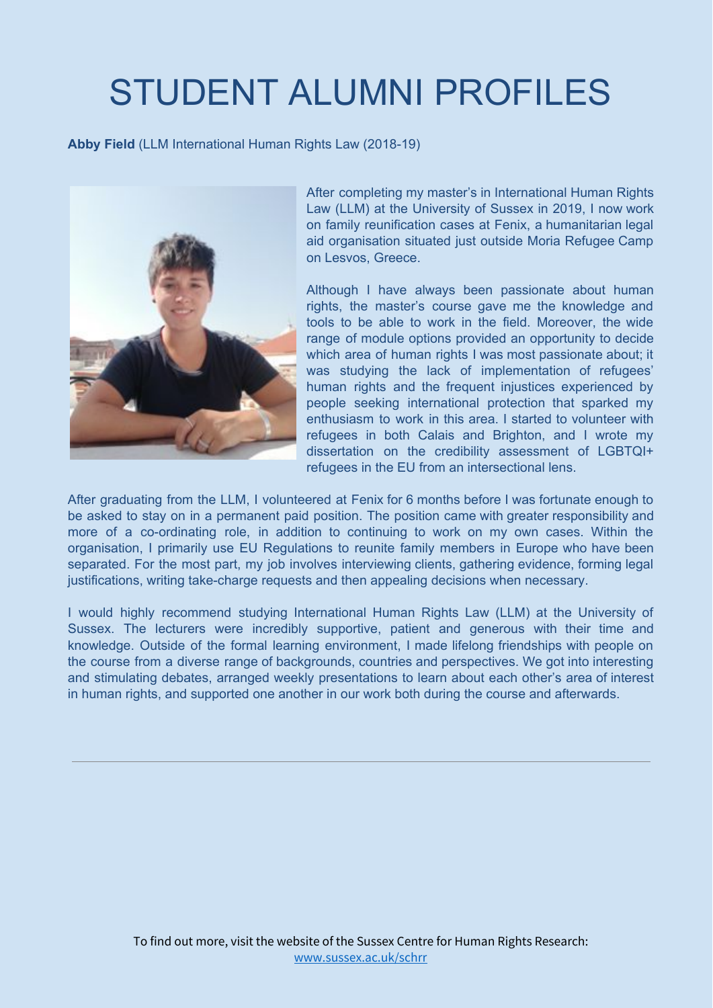# STUDENT ALUMNI PROFILES

**Abby Field** (LLM International Human Rights Law (2018-19)



After completing my master's in International Human Rights Law (LLM) at the University of Sussex in 2019, I now work on family reunification cases at Fenix, a humanitarian legal aid organisation situated just outside Moria Refugee Camp on Lesvos, Greece.

Although I have always been passionate about human rights, the master's course gave me the knowledge and tools to be able to work in the field. Moreover, the wide range of module options provided an opportunity to decide which area of human rights I was most passionate about; it was studying the lack of implementation of refugees' human rights and the frequent injustices experienced by people seeking international protection that sparked my enthusiasm to work in this area. I started to volunteer with refugees in both Calais and Brighton, and I wrote my dissertation on the credibility assessment of LGBTQI+ refugees in the EU from an intersectional lens.

After graduating from the LLM, I volunteered at Fenix for 6 months before I was fortunate enough to be asked to stay on in a permanent paid position. The position came with greater responsibility and more of a co-ordinating role, in addition to continuing to work on my own cases. Within the organisation, I primarily use EU Regulations to reunite family members in Europe who have been separated. For the most part, my job involves interviewing clients, gathering evidence, forming legal justifications, writing take-charge requests and then appealing decisions when necessary.

I would highly recommend studying International Human Rights Law (LLM) at the University of Sussex. The lecturers were incredibly supportive, patient and generous with their time and knowledge. Outside of the formal learning environment, I made lifelong friendships with people on the course from a diverse range of backgrounds, countries and perspectives. We got into interesting and stimulating debates, arranged weekly presentations to learn about each other's area of interest in human rights, and supported one another in our work both during the course and afterwards.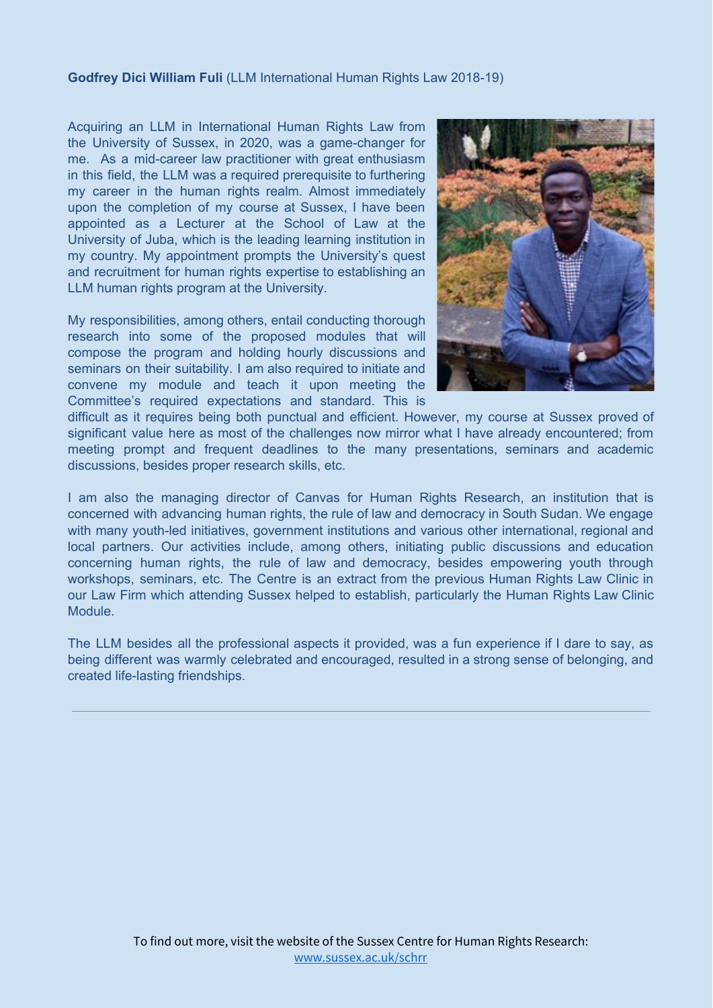#### **Godfrey Dici William Fuli** (LLM International Human Rights Law 2018-19)

Acquiring an LLM in International Human Rights Law from the University of Sussex, in 2020, was a game-changer for me. As a mid-career law practitioner with great enthusiasm in this field, the LLM was a required prerequisite to furthering my career in the human rights realm. Almost immediately upon the completion of my course at Sussex, I have been appointed as a Lecturer at the School of Law at the University of Juba, which is the leading learning institution in my country. My appointment prompts the University's quest and recruitment for human rights expertise to establishing an LLM human rights program at the University.

My responsibilities, among others, entail conducting thorough research into some of the proposed modules that will compose the program and holding hourly discussions and seminars on their suitability. I am also required to initiate and convene my module and teach it upon meeting the Committee's required expectations and standard. This is



difficult as it requires being both punctual and efficient. However, my course at Sussex proved of significant value here as most of the challenges now mirror what I have already encountered; from meeting prompt and frequent deadlines to the many presentations, seminars and academic discussions, besides proper research skills, etc.

I am also the managing director of Canvas for Human Rights Research, an institution that is concerned with advancing human rights, the rule of law and democracy in South Sudan. We engage with many youth-led initiatives, government institutions and various other international, regional and local partners. Our activities include, among others, initiating public discussions and education concerning human rights, the rule of law and democracy, besides empowering youth through workshops, seminars, etc. The Centre is an extract from the previous Human Rights Law Clinic in our Law Firm which attending Sussex helped to establish, particularly the Human Rights Law Clinic Module.

The LLM besides all the professional aspects it provided, was a fun experience if I dare to say, as being different was warmly celebrated and encouraged, resulted in a strong sense of belonging, and created life-lasting friendships.